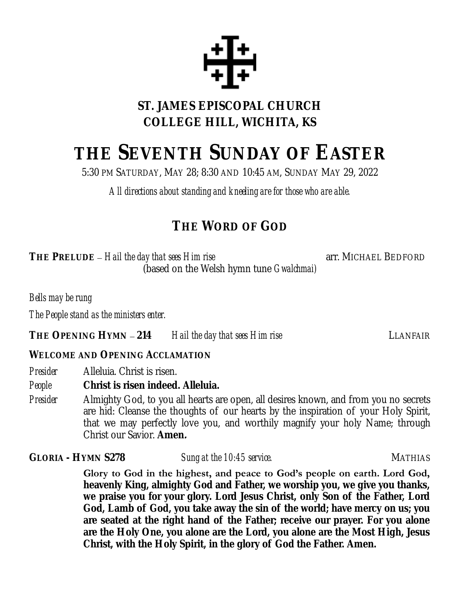

# **ST. JAMES EPISCOPAL CHURCH COLLEGE HILL, WICHITA, KS**

# **THE SEVENTH SUNDAY OF EASTER**

5:30 PM SATURDAY, MAY 28; 8:30 AND 10:45 AM, SUNDAY MAY 29, 2022

*All directions about standing and kneeling are for those who are able.*

# **THE WORD OF GOD**

**THE** PRELUDE – Hail the day that sees Him rise **by an array in the SEDFORD** arr. MICHAEL BEDFORD (based on the Welsh hymn tune *Gwalchmai)*

*Bells may be rung*

*The People stand as the ministers enter.*

**THE OPENING HYMN** – **214** *Hail the day that sees Him rise* LLANFAIR

#### **WELCOME AND OPENING ACCLAMATION**

*Presider* Alleluia. Christ is risen.

*People* **Christ is risen indeed. Alleluia.**

*Presider* Almighty God, to you all hearts are open, all desires known, and from you no secrets are hid: Cleanse the thoughts of our hearts by the inspiration of your Holy Spirit, that we may perfectly love you, and worthily magnify your holy Name; through Christ our Savior. **Amen.**

GLORIA - HYMN S278 *Sung at the 10:45 service.* All the service service of the MATHIAS

**Glory to God in the highest, and peace to God's people on earth. Lord God, heavenly King, almighty God and Father, we worship you, we give you thanks, we praise you for your glory. Lord Jesus Christ, only Son of the Father, Lord God, Lamb of God, you take away the sin of the world; have mercy on us; you are seated at the right hand of the Father; receive our prayer. For you alone are the Holy One, you alone are the Lord, you alone are the Most High, Jesus Christ, with the Holy Spirit, in the glory of God the Father. Amen.**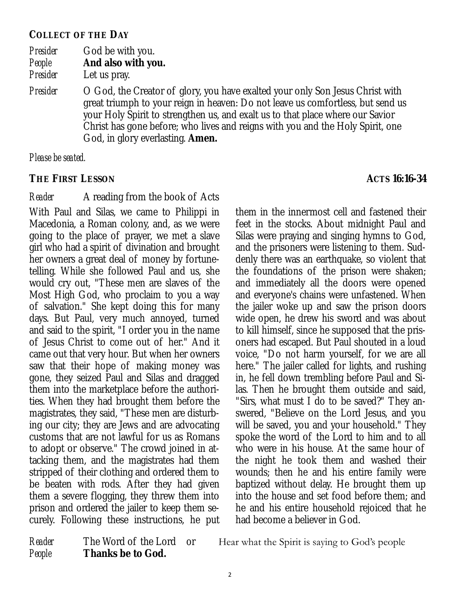#### **COLLECT OF THE DAY**

| Presider | God be with you.    |
|----------|---------------------|
| People   | And also with you.  |
| Drocidor | $\lambda$ the prove |

- *Presider* Let us pray.
- *Presider* O God, the Creator of glory, you have exalted your only Son Jesus Christ with great triumph to your reign in heaven: Do not leave us comfortless, but send us your Holy Spirit to strengthen us, and exalt us to that place where our Savior Christ has gone before; who lives and reigns with you and the Holy Spirit, one God, in glory everlasting. **Amen.**

*Please be seated.*

#### **THE FIRST LESSON ACTS 16:16-34**

*Reader* A reading from the book of Acts With Paul and Silas, we came to Philippi in Macedonia, a Roman colony, and, as we were going to the place of prayer, we met a slave girl who had a spirit of divination and brought her owners a great deal of money by fortunetelling. While she followed Paul and us, she would cry out, "These men are slaves of the Most High God, who proclaim to you a way of salvation." She kept doing this for many days. But Paul, very much annoyed, turned and said to the spirit, "I order you in the name of Jesus Christ to come out of her." And it came out that very hour. But when her owners saw that their hope of making money was gone, they seized Paul and Silas and dragged them into the marketplace before the authorities. When they had brought them before the magistrates, they said, "These men are disturbing our city; they are Jews and are advocating customs that are not lawful for us as Romans to adopt or observe." The crowd joined in attacking them, and the magistrates had them stripped of their clothing and ordered them to be beaten with rods. After they had given them a severe flogging, they threw them into prison and ordered the jailer to keep them securely. Following these instructions, he put

them in the innermost cell and fastened their feet in the stocks. About midnight Paul and Silas were praying and singing hymns to God, and the prisoners were listening to them. Suddenly there was an earthquake, so violent that the foundations of the prison were shaken; and immediately all the doors were opened and everyone's chains were unfastened. When the jailer woke up and saw the prison doors wide open, he drew his sword and was about to kill himself, since he supposed that the prisoners had escaped. But Paul shouted in a loud voice, "Do not harm yourself, for we are all here." The jailer called for lights, and rushing in, he fell down trembling before Paul and Silas. Then he brought them outside and said, "Sirs, what must I do to be saved?" They answered, "Believe on the Lord Jesus, and you will be saved, you and your household." They spoke the word of the Lord to him and to all who were in his house. At the same hour of the night he took them and washed their wounds; then he and his entire family were baptized without delay. He brought them up into the house and set food before them; and he and his entire household rejoiced that he had become a believer in God.

*People* **Thanks be to God.**

*Reader* The Word of the Lord or Hear what the Spirit is saying to God's people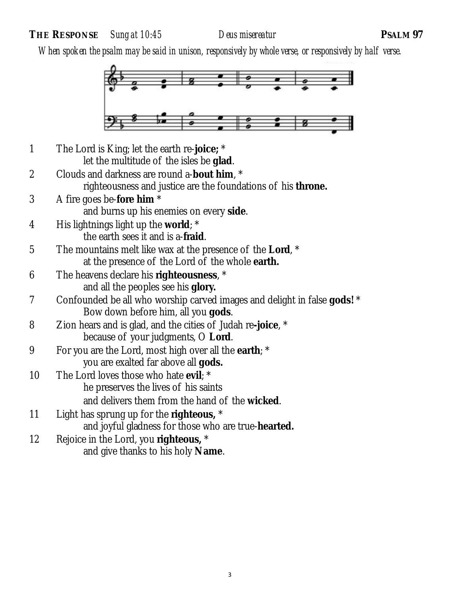**THE RESPONSE** *Sung at 10:45 Deus misereatur* **PSALM 97**

*When spoken the psalm may be said in unison, responsively by whole verse, or responsively by half verse.*



1 The Lord is King; let the earth re-**joice;** \* let the multitude of the isles be **glad**. 2 Clouds and darkness are round a-**bout him**, \* righteousness and justice are the foundations of his **throne.** 3 A fire goes be-**fore him** \* and burns up his enemies on every **side**. 4 His lightnings light up the **world**; \* the earth sees it and is a-**fraid**. 5 The mountains melt like wax at the presence of the **Lord**, \* at the presence of the Lord of the whole **earth.** 6 The heavens declare his **righteousness**, \* and all the peoples see his **glory.** 7 Confounded be all who worship carved images and delight in false **gods!** \* Bow down before him, all you **gods**. 8 Zion hears and is glad, and the cities of Judah re**-joice**, \* because of your judgments, O **Lord**. 9 For you are the Lord, most high over all the **earth**; \* you are exalted far above all **gods.** 10 The Lord loves those who hate **evil**; \* he preserves the lives of his saints and delivers them from the hand of the **wicked**. 11 Light has sprung up for the **righteous,** \* and joyful gladness for those who are true-**hearted.** 12 Rejoice in the Lord, you **righteous,** \* and give thanks to his holy **Name**.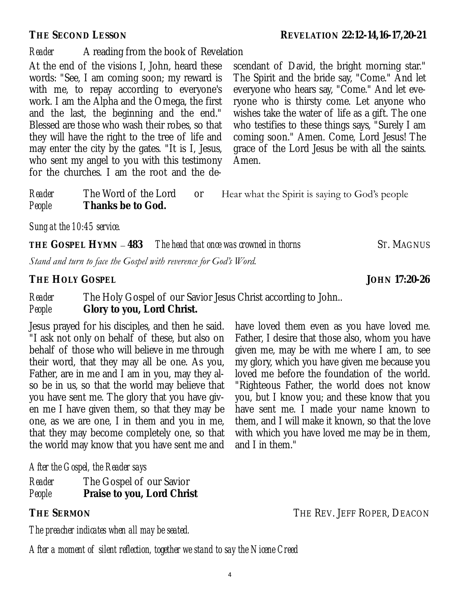and I in them."

*Reader* A reading from the book of Revelation

At the end of the visions I, John, heard these words: "See, I am coming soon; my reward is with me, to repay according to everyone's work. I am the Alpha and the Omega, the first and the last, the beginning and the end." Blessed are those who wash their robes, so that they will have the right to the tree of life and may enter the city by the gates. "It is I, Jesus, who sent my angel to you with this testimony for the churches. I am the root and the de-

scendant of David, the bright morning star." The Spirit and the bride say, "Come." And let everyone who hears say, "Come." And let everyone who is thirsty come. Let anyone who wishes take the water of life as a gift. The one who testifies to these things says, "Surely I am coming soon." Amen. Come, Lord Jesus! The grace of the Lord Jesus be with all the saints. Amen.

have loved them even as you have loved me. Father, I desire that those also, whom you have given me, may be with me where I am, to see my glory, which you have given me because you loved me before the foundation of the world. "Righteous Father, the world does not know you, but I know you; and these know that you have sent me. I made your name known to them, and I will make it known, so that the love with which you have loved me may be in them,

*Reader* The Word of the Lord or Hear what the Spirit is saying to God's people *People* **Thanks be to God.**

*Sung at the 10:45 service.* 

**THE** GOSPEL HYMN – 483 The head that once was crowned in thorns ST. MAGNUS

*Stand and turn to face the Gospel with reverence for God's Word.*

**THE HOLY GOSPEL JOHN 17:20-26** 

*Reader* The Holy Gospel of our Savior Jesus Christ according to John.. *People* **Glory to you, Lord Christ.**

Jesus prayed for his disciples, and then he said. "I ask not only on behalf of these, but also on behalf of those who will believe in me through their word, that they may all be one. As you, Father, are in me and I am in you, may they also be in us, so that the world may believe that you have sent me. The glory that you have given me I have given them, so that they may be one, as we are one, I in them and you in me, that they may become completely one, so that the world may know that you have sent me and

*After the Gospel, the Reader says*

| Reader | The Gospel of our Savior   |
|--------|----------------------------|
| People | Praise to you, Lord Christ |

**THE SERMON** THE REV. JEFF ROPER, DEACON

*The preacher indicates when all may be seated.*

*After a moment of silent reflection, together we stand to say the Nicene Creed*

**THE SECOND LESSON REVELATION 22:12-14,16-17,20-21**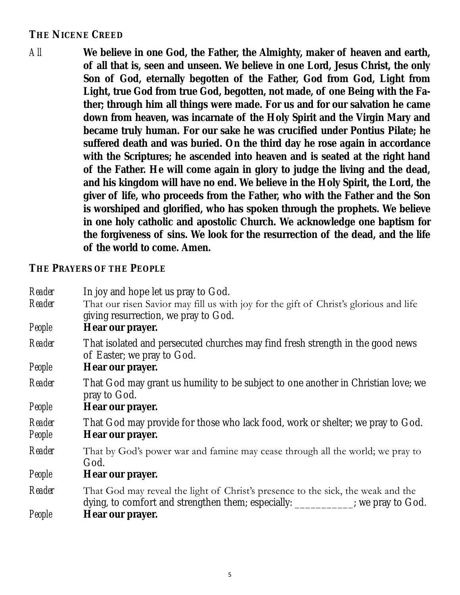### **THE NICENE CREED**

*All* **We believe in one God, the Father, the Almighty, maker of heaven and earth, of all that is, seen and unseen. We believe in one Lord, Jesus Christ, the only Son of God, eternally begotten of the Father, God from God, Light from Light, true God from true God, begotten, not made, of one Being with the Father; through him all things were made. For us and for our salvation he came down from heaven, was incarnate of the Holy Spirit and the Virgin Mary and became truly human. For our sake he was crucified under Pontius Pilate; he suffered death and was buried. On the third day he rose again in accordance with the Scriptures; he ascended into heaven and is seated at the right hand of the Father. He will come again in glory to judge the living and the dead, and his kingdom will have no end. We believe in the Holy Spirit, the Lord, the giver of life, who proceeds from the Father, who with the Father and the Son is worshiped and glorified, who has spoken through the prophets. We believe in one holy catholic and apostolic Church. We acknowledge one baptism for the forgiveness of sins. We look for the resurrection of the dead, and the life of the world to come. Amen.**

**THE PRAYERS OF THE PEOPLE**

| Reader           | In joy and hope let us pray to God.                                                                                                                                |
|------------------|--------------------------------------------------------------------------------------------------------------------------------------------------------------------|
| Reader           | That our risen Savior may fill us with joy for the gift of Christ's glorious and life<br>giving resurrection, we pray to God.                                      |
| People           | Hear our prayer.                                                                                                                                                   |
| Reader           | That isolated and persecuted churches may find fresh strength in the good news<br>of Easter; we pray to God.                                                       |
| People           | Hear our prayer.                                                                                                                                                   |
| Reader           | That God may grant us humility to be subject to one another in Christian love; we<br>pray to God.                                                                  |
| People           | Hear our prayer.                                                                                                                                                   |
| Reader<br>People | That God may provide for those who lack food, work or shelter; we pray to God.<br>Hear our prayer.                                                                 |
| Reader           | That by God's power war and famine may cease through all the world; we pray to<br>God.                                                                             |
| People           | Hear our prayer.                                                                                                                                                   |
| Reader           | That God may reveal the light of Christ's presence to the sick, the weak and the<br>dying, to comfort and strengthen them; especially: __________; we pray to God. |
| People           | Hear our prayer.                                                                                                                                                   |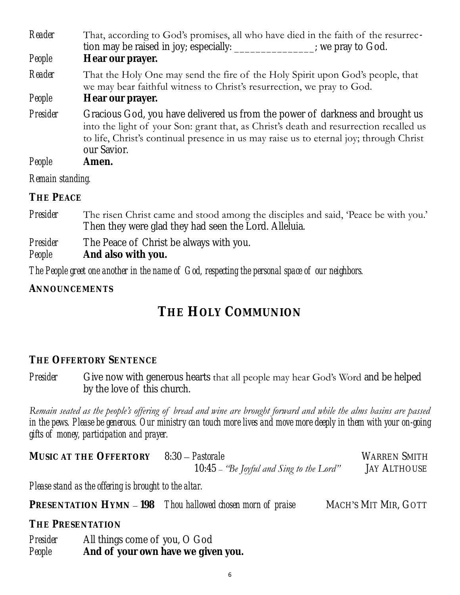| Reader<br>People | That, according to God's promises, all who have died in the faith of the resurrec-<br>tion may be raised in joy; especially: ______________; we pray to God.<br>Hear our prayer.                                                                                                 |
|------------------|----------------------------------------------------------------------------------------------------------------------------------------------------------------------------------------------------------------------------------------------------------------------------------|
| Reader           | That the Holy One may send the fire of the Holy Spirit upon God's people, that<br>we may bear faithful witness to Christ's resurrection, we pray to God.                                                                                                                         |
| People           | Hear our prayer.                                                                                                                                                                                                                                                                 |
| Presider         | Gracious God, you have delivered us from the power of darkness and brought us<br>into the light of your Son: grant that, as Christ's death and resurrection recalled us<br>to life, Christ's continual presence in us may raise us to eternal joy; through Christ<br>our Savior. |
| People           | Amen.                                                                                                                                                                                                                                                                            |
| Remain standing. |                                                                                                                                                                                                                                                                                  |

**THE PEACE**

*Presider* The risen Christ came and stood among the disciples and said, 'Peace be with you.' Then they were glad they had seen the Lord. Alleluia.

*Presider* The Peace of Christ be always with you.

*People* **And also with you.**

*The People greet one another in the name of God, respecting the personal space of our neighbors.*

**ANNOUNCEMENTS**

# **THE HOLY COMMUNION**

#### **THE OFFERTORY SENTENCE**

*Presider* Give now with generous hearts that all people may hear God's Word and be helped by the love of this church.

*Remain seated as the people's offering of bread and wine are brought forward and while the alms basins are passed*  in the pews. Please be generous. Our ministry can touch more lives and move more deeply in them with your on-going *gifts of money, participation and prayer.*

**MUSIC AT THE OFFERTORY** 8:30 – *Pastorale* WARREN SMITH 10:45 – *"Be Joyful and Sing to the Lord"* JAY ALTHOUSE

*Please stand as the offering is brought to the altar.*

**PRESENTATION HYMN – 198** *Thou hallowed chosen morn of praise* MACH's MIT MIR, GOTT

**THE PRESENTATION**

*Presider* All things come of you, O God *People* **And of your own have we given you.**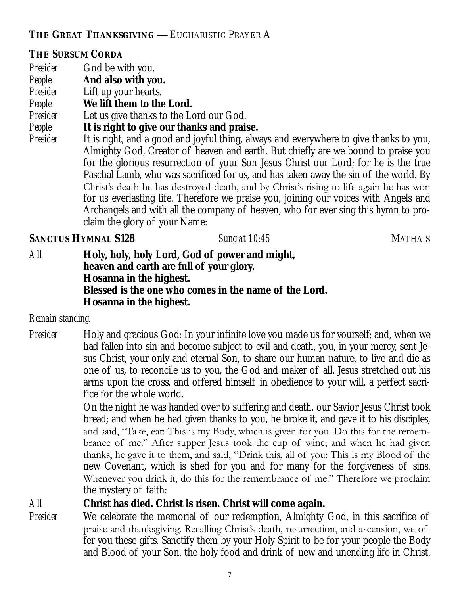**THE GREAT THANKSGIVING —** EUCHARISTIC PRAYER A

#### **THE SURSUM CORDA**

- *Presider* God be with you.
- *People* **And also with you.**
- *Presider* Lift up your hearts.
- *People* **We lift them to the Lord.**
- *Presider* Let us give thanks to the Lord our God.
- *People* **It is right to give our thanks and praise.**
- *Presider* It is right, and a good and joyful thing, always and everywhere to give thanks to you, Almighty God, Creator of heaven and earth. But chiefly are we bound to praise you for the glorious resurrection of your Son Jesus Christ our Lord; for he is the true Paschal Lamb, who was sacrificed for us, and has taken away the sin of the world. By Christ's death he has destroyed death, and by Christ's rising to life again he has won for us everlasting life. Therefore we praise you, joining our voices with Angels and Archangels and with all the company of heaven, who for ever sing this hymn to proclaim the glory of your Name:

#### **SANCTUS HYMNAL S128** *Sung at 10:45*MATHAIS

*All* **Holy, holy, holy Lord, God of power and might, heaven and earth are full of your glory. Hosanna in the highest. Blessed is the one who comes in the name of the Lord. Hosanna in the highest.**

#### *Remain standing.*

*Presider* Holy and gracious God: In your infinite love you made us for yourself; and, when we had fallen into sin and become subject to evil and death, you, in your mercy, sent Jesus Christ, your only and eternal Son, to share our human nature, to live and die as one of us, to reconcile us to you, the God and maker of all. Jesus stretched out his arms upon the cross, and offered himself in obedience to your will, a perfect sacrifice for the whole world.

> On the night he was handed over to suffering and death, our Savior Jesus Christ took bread; and when he had given thanks to you, he broke it, and gave it to his disciples, and said, "Take, eat: This is my Body, which is given for you. Do this for the remembrance of me." After supper Jesus took the cup of wine; and when he had given thanks, he gave it to them, and said, "Drink this, all of you: This is my Blood of the new Covenant, which is shed for you and for many for the forgiveness of sins. Whenever you drink it, do this for the remembrance of me." Therefore we proclaim the mystery of faith:

*All* **Christ has died. Christ is risen. Christ will come again.**

*Presider* We celebrate the memorial of our redemption, Almighty God, in this sacrifice of praise and thanksgiving. Recalling Christ's death, resurrection, and ascension, we offer you these gifts. Sanctify them by your Holy Spirit to be for your people the Body and Blood of your Son, the holy food and drink of new and unending life in Christ.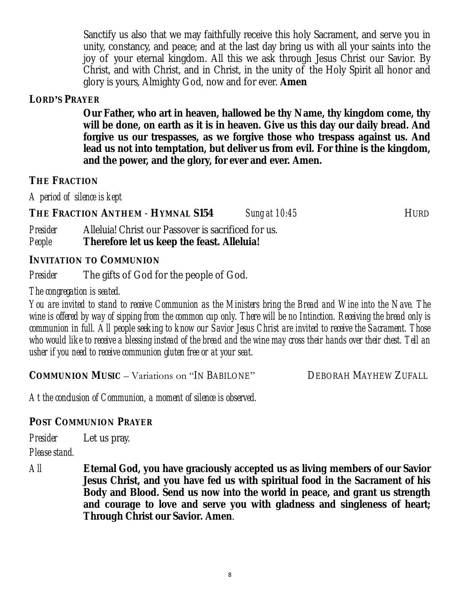Sanctify us also that we may faithfully receive this holy Sacrament, and serve you in unity, constancy, and peace; and at the last day bring us with all your saints into the joy of your eternal kingdom. All this we ask through Jesus Christ our Savior. By Christ, and with Christ, and in Christ, in the unity of the Holy Spirit all honor and glory is yours, Almighty God, now and for ever. **Amen**

#### **LORD'S PRAYER**

**Our Father, who art in heaven, hallowed be thy Name, thy kingdom come, thy will be done, on earth as it is in heaven. Give us this day our daily bread. And forgive us our trespasses, as we forgive those who trespass against us. And lead us not into temptation, but deliver us from evil. For thine is the kingdom, and the power, and the glory, for ever and ever. Amen.** 

#### **THE FRACTION**

*A period of silence is kept*

**THE FRACTION ANTHEM** - **HYMNAL S154** *Sung at 10:45*HURD

*Presider* Alleluia! Christ our Passover is sacrificed for us. *People* **Therefore let us keep the feast. Alleluia!**

**INVITATION TO COMMUNION**

*Presider* The gifts of God for the people of God.

#### *The congregation is seated.*

*You are invited to stand to receive Communion as the Ministers bring the Bread and Wine into the Nave. The wine is offered by way of sipping from the common cup only. There will be no Intinction. Receiving the bread only is communion in full. All people seeking to know our Savior Jesus Christ are invited to receive the Sacrament. Those who would like to receive a blessing instead of the bread and the wine may cross their hands over their chest. Tell an usher if you need to receive communion gluten free or at your seat.* 

**COMMUNION MUSIC** – Variations on "IN BABILONE" DEBORAH MAYHEW ZUFALL

*At the conclusion of Communion, a moment of silence is observed.*

#### **POST COMMUNION PRAYER**

*Presider* Let us pray.

#### *Please stand.*

*All* **Eternal God, you have graciously accepted us as living members of our Savior Jesus Christ, and you have fed us with spiritual food in the Sacrament of his Body and Blood. Send us now into the world in peace, and grant us strength and courage to love and serve you with gladness and singleness of heart; Through Christ our Savior. Amen**.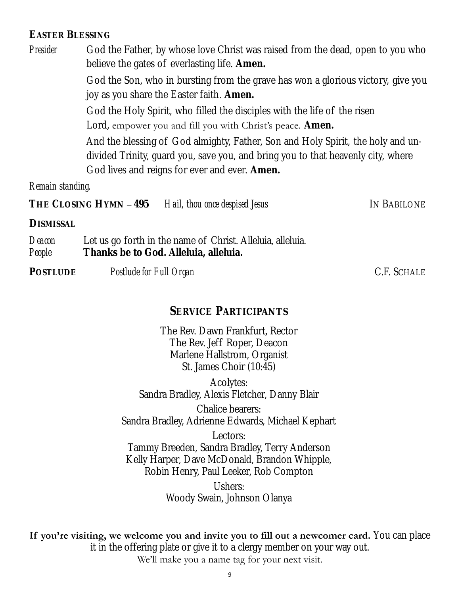#### **EASTER BLESSING**

*Presider* God the Father, by whose love Christ was raised from the dead, open to you who believe the gates of everlasting life. **Amen.**

> God the Son, who in bursting from the grave has won a glorious victory, give you joy as you share the Easter faith. **Amen.**

God the Holy Spirit, who filled the disciples with the life of the risen Lord, empower you and fill you with Christ's peace. **Amen.**

And the blessing of God almighty, Father, Son and Holy Spirit, the holy and undivided Trinity, guard you, save you, and bring you to that heavenly city, where God lives and reigns for ever and ever. **Amen.**

*Remain standing.* 

**THE CLOSING HYMN** – **495** *Hail, thou once despised Jesus* IN BABILONE

**DISMISSAL**

*Deacon* Let us go forth in the name of Christ. Alleluia, alleluia. *People* **Thanks be to God. Alleluia, alleluia.**

POSTLUDE Postlude for Full Organ **Property C.F. SCHALE** 

#### **SERVICE PARTICIPANTS**

The Rev. Dawn Frankfurt, Rector The Rev. Jeff Roper, Deacon Marlene Hallstrom, Organist St. James Choir (10:45)

Acolytes: Sandra Bradley, Alexis Fletcher, Danny Blair

Chalice bearers: Sandra Bradley, Adrienne Edwards, Michael Kephart

Lectors: Tammy Breeden, Sandra Bradley, Terry Anderson Kelly Harper, Dave McDonald, Brandon Whipple, Robin Henry, Paul Leeker, Rob Compton

> Ushers: Woody Swain, Johnson Olanya

If you're visiting, we welcome you and invite you to fill out a newcomer card. You can place it in the offering plate or give it to a clergy member on your way out. We'll make you a name tag for your next visit.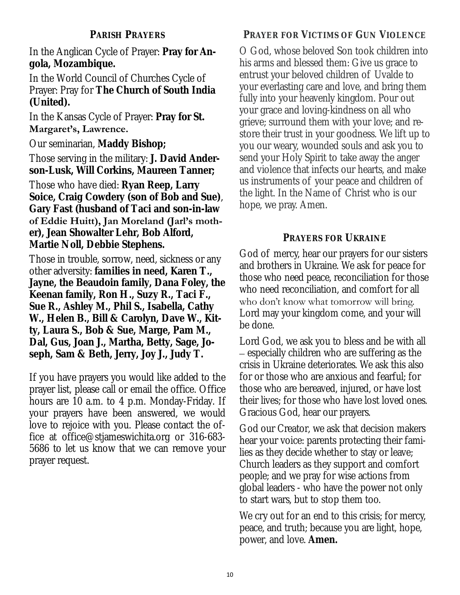In the Anglican Cycle of Prayer: **Pray for Angola, Mozambique.**

In the World Council of Churches Cycle of Prayer: Pray for **The Church of South India (United).**

In the Kansas Cycle of Prayer: **Pray for St.** 

#### **Margaret's, Lawrence.**

Our seminarian, **Maddy Bishop;**

Those serving in the military: **J. David Anderson-Lusk, Will Corkins, Maureen Tanner;**

Those who have died: **Ryan Reep, Larry Soice, Craig Cowdery (son of Bob and Sue)**, **Gary Fast (husband of Taci and son-in-law** 

**of Eddie Huitt), Jan Moreland (Jarl's mother), Jean Showalter Lehr, Bob Alford, Martie Noll, Debbie Stephens.**

Those in trouble, sorrow, need, sickness or any other adversity: **families in need, Karen T., Jayne, the Beaudoin family, Dana Foley, the Keenan family, Ron H., Suzy R., Taci F., Sue R., Ashley M., Phil S., Isabella, Cathy W., Helen B., Bill & Carolyn, Dave W., Kitty, Laura S., Bob & Sue, Marge, Pam M., Dal, Gus, Joan J., Martha, Betty, Sage, Joseph, Sam & Beth, Jerry, Joy J., Judy T.**

If you have prayers you would like added to the prayer list, please call or email the office. Office hours are 10 a.m. to 4 p.m. Monday-Friday. If your prayers have been answered, we would love to rejoice with you. Please contact the office at office@stjameswichita.org or 316-683- 5686 to let us know that we can remove your prayer request.

### **PRAYER FOR VICTIMS OF GUN VIOLENCE**

O God, whose beloved Son took children into his arms and blessed them: Give us grace to entrust your beloved children of Uvalde to your everlasting care and love, and bring them fully into your heavenly kingdom. Pour out your grace and loving-kindness on all who grieve; surround them with your love; and restore their trust in your goodness. We lift up to you our weary, wounded souls and ask you to send your Holy Spirit to take away the anger and violence that infects our hearts, and make us instruments of your peace and children of the light. In the Name of Christ who is our hope, we pray. Amen.

#### **PRAYERS FOR UKRAINE**

God of mercy, hear our prayers for our sisters and brothers in Ukraine. We ask for peace for those who need peace, reconciliation for those who need reconciliation, and comfort for all who don't know what tomorrow will bring. Lord may your kingdom come, and your will be done.

Lord God, we ask you to bless and be with all – especially children who are suffering as the crisis in Ukraine deteriorates. We ask this also for or those who are anxious and fearful; for those who are bereaved, injured, or have lost their lives; for those who have lost loved ones. Gracious God, hear our prayers.

God our Creator, we ask that decision makers hear your voice: parents protecting their families as they decide whether to stay or leave; Church leaders as they support and comfort people; and we pray for wise actions from global leaders - who have the power not only to start wars, but to stop them too.

We cry out for an end to this crisis; for mercy, peace, and truth; because you are light, hope, power, and love. **Amen.**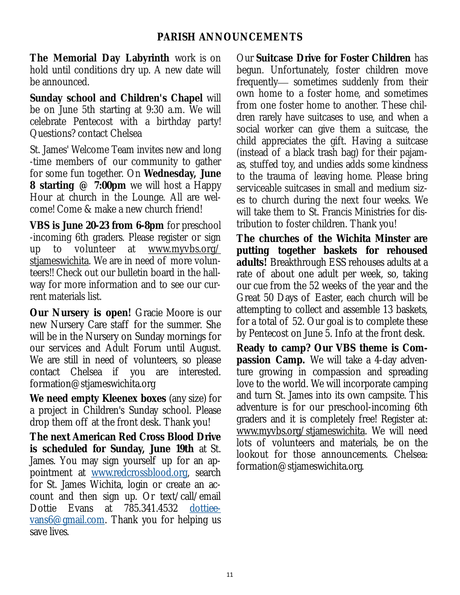**The Memorial Day Labyrinth** work is on hold until conditions dry up. A new date will be announced.

**Sunday school and Children's Chapel** will be on June 5th starting at 9:30 a.m. We will celebrate Pentecost with a birthday party! Questions? contact Chelsea

St. James' Welcome Team invites new and long -time members of our community to gather for some fun together. On **Wednesday, June 8 starting @ 7:00pm** we will host a Happy Hour at church in the Lounge. All are welcome! Come & make a new church friend!

**VBS is June 20-23 from 6-8pm** for preschool -incoming 6th graders. Please register or sign up to volunteer at [www.myvbs.org/](http://www.myvbs.org/stjameswichita) [stjameswichita.](http://www.myvbs.org/stjameswichita) We are in need of more volunteers!! Check out our bulletin board in the hallway for more information and to see our current materials list.

**Our Nursery is open!** Gracie Moore is our new Nursery Care staff for the summer. She will be in the Nursery on Sunday mornings for our services and Adult Forum until August. We are still in need of volunteers, so please contact Chelsea if you are interested. formation@stjameswichita.org

**We need empty Kleenex boxes** (any size) for a project in Children's Sunday school. Please drop them off at the front desk. Thank you!

**The next American Red Cross Blood Drive is scheduled for Sunday, June 19th** at St. James. You may sign yourself up for an appointment at [www.redcrossblood.org,](http://www.redcrossblood.org) search for St. James Wichita, login or create an account and then sign up. Or text/call/email Dottie Evans at 785.341.4532 [dottiee](mailto:dottieevans6@gmail.com)[vans6@gmail.com.](mailto:dottieevans6@gmail.com) Thank you for helping us save lives.

Our **Suitcase Drive for Foster Children** has begun. Unfortunately, foster children move frequently— sometimes suddenly from their own home to a foster home, and sometimes from one foster home to another. These children rarely have suitcases to use, and when a social worker can give them a suitcase, the child appreciates the gift. Having a suitcase (instead of a black trash bag) for their pajamas, stuffed toy, and undies adds some kindness to the trauma of leaving home. Please bring serviceable suitcases in small and medium sizes to church during the next four weeks. We will take them to St. Francis Ministries for distribution to foster children. Thank you!

**The churches of the Wichita Minster are putting together baskets for rehoused adults!** Breakthrough ESS rehouses adults at a rate of about one adult per week, so, taking our cue from the 52 weeks of the year and the Great 50 Days of Easter, each church will be attempting to collect and assemble 13 baskets, for a total of 52. Our goal is to complete these by Pentecost on June 5. Info at the front desk.

**Ready to camp? Our VBS theme is Compassion Camp.** We will take a 4-day adventure growing in compassion and spreading love to the world. We will incorporate camping and turn St. James into its own campsite. This adventure is for our preschool-incoming 6th graders and it is completely free! Register at: [www.myvbs.org/stjameswichita.](http://www.myvbs.org/stjameswichita) We will need lots of volunteers and materials, be on the lookout for those announcements. Chelsea: formation@stjameswichita.org.